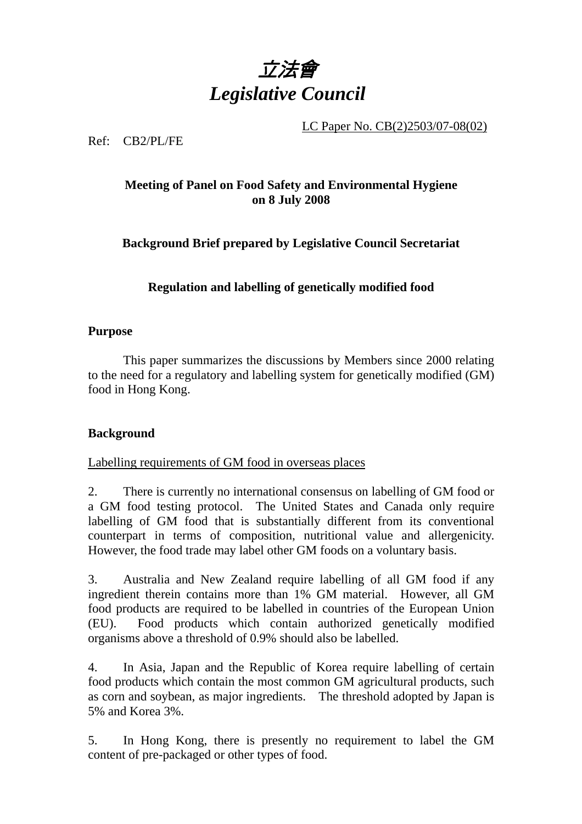

LC Paper No. CB(2)2503/07-08(02)

Ref: CB2/PL/FE

# **Meeting of Panel on Food Safety and Environmental Hygiene on 8 July 2008**

**Background Brief prepared by Legislative Council Secretariat** 

**Regulation and labelling of genetically modified food** 

## **Purpose**

This paper summarizes the discussions by Members since 2000 relating to the need for a regulatory and labelling system for genetically modified (GM) food in Hong Kong.

# **Background**

Labelling requirements of GM food in overseas places

2. There is currently no international consensus on labelling of GM food or a GM food testing protocol. The United States and Canada only require labelling of GM food that is substantially different from its conventional counterpart in terms of composition, nutritional value and allergenicity. However, the food trade may label other GM foods on a voluntary basis.

3. Australia and New Zealand require labelling of all GM food if any ingredient therein contains more than 1% GM material. However, all GM food products are required to be labelled in countries of the European Union (EU). Food products which contain authorized genetically modified organisms above a threshold of 0.9% should also be labelled.

4. In Asia, Japan and the Republic of Korea require labelling of certain food products which contain the most common GM agricultural products, such as corn and soybean, as major ingredients. The threshold adopted by Japan is 5% and Korea 3%.

5. In Hong Kong, there is presently no requirement to label the GM content of pre-packaged or other types of food.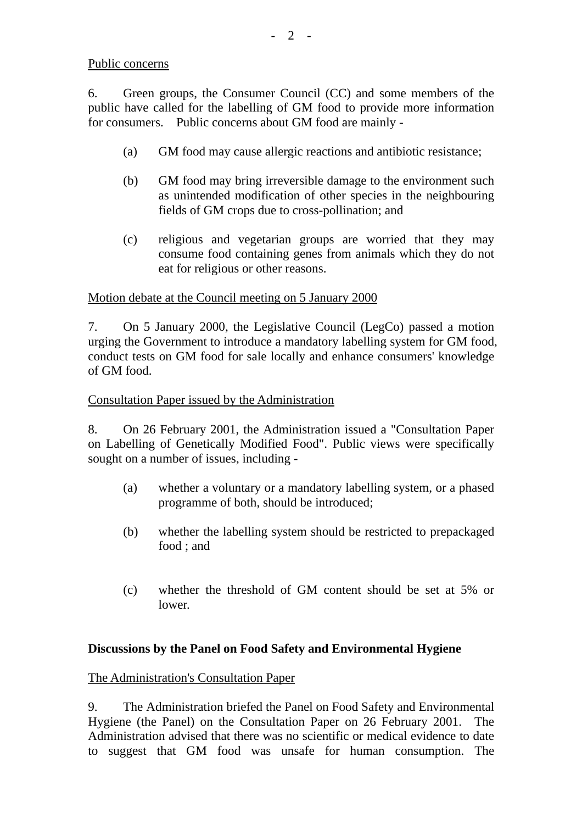#### Public concerns

6. Green groups, the Consumer Council (CC) and some members of the public have called for the labelling of GM food to provide more information for consumers. Public concerns about GM food are mainly -

- (a) GM food may cause allergic reactions and antibiotic resistance;
- (b) GM food may bring irreversible damage to the environment such as unintended modification of other species in the neighbouring fields of GM crops due to cross-pollination; and
- (c) religious and vegetarian groups are worried that they may consume food containing genes from animals which they do not eat for religious or other reasons.

## Motion debate at the Council meeting on 5 January 2000

7. On 5 January 2000, the Legislative Council (LegCo) passed a motion urging the Government to introduce a mandatory labelling system for GM food, conduct tests on GM food for sale locally and enhance consumers' knowledge of GM food.

#### Consultation Paper issued by the Administration

8. On 26 February 2001, the Administration issued a "Consultation Paper on Labelling of Genetically Modified Food". Public views were specifically sought on a number of issues, including -

- (a) whether a voluntary or a mandatory labelling system, or a phased programme of both, should be introduced;
- (b) whether the labelling system should be restricted to prepackaged food ; and
- (c) whether the threshold of GM content should be set at 5% or lower.

# **Discussions by the Panel on Food Safety and Environmental Hygiene**

#### The Administration's Consultation Paper

9. The Administration briefed the Panel on Food Safety and Environmental Hygiene (the Panel) on the Consultation Paper on 26 February 2001. The Administration advised that there was no scientific or medical evidence to date to suggest that GM food was unsafe for human consumption. The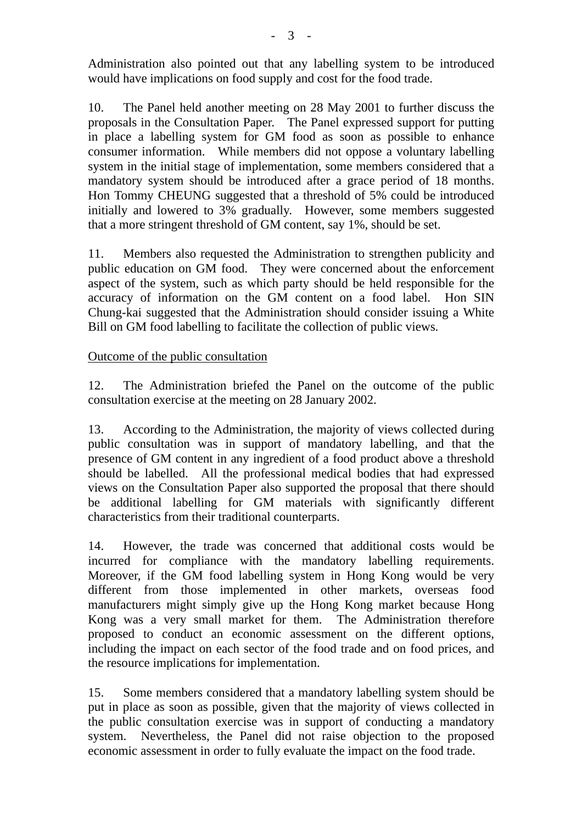Administration also pointed out that any labelling system to be introduced would have implications on food supply and cost for the food trade.

10. The Panel held another meeting on 28 May 2001 to further discuss the proposals in the Consultation Paper. The Panel expressed support for putting in place a labelling system for GM food as soon as possible to enhance consumer information. While members did not oppose a voluntary labelling system in the initial stage of implementation, some members considered that a mandatory system should be introduced after a grace period of 18 months. Hon Tommy CHEUNG suggested that a threshold of 5% could be introduced initially and lowered to 3% gradually. However, some members suggested that a more stringent threshold of GM content, say 1%, should be set.

11. Members also requested the Administration to strengthen publicity and public education on GM food. They were concerned about the enforcement aspect of the system, such as which party should be held responsible for the accuracy of information on the GM content on a food label. Hon SIN Chung-kai suggested that the Administration should consider issuing a White Bill on GM food labelling to facilitate the collection of public views.

## Outcome of the public consultation

12. The Administration briefed the Panel on the outcome of the public consultation exercise at the meeting on 28 January 2002.

13. According to the Administration, the majority of views collected during public consultation was in support of mandatory labelling, and that the presence of GM content in any ingredient of a food product above a threshold should be labelled. All the professional medical bodies that had expressed views on the Consultation Paper also supported the proposal that there should be additional labelling for GM materials with significantly different characteristics from their traditional counterparts.

14. However, the trade was concerned that additional costs would be incurred for compliance with the mandatory labelling requirements. Moreover, if the GM food labelling system in Hong Kong would be very different from those implemented in other markets, overseas food manufacturers might simply give up the Hong Kong market because Hong Kong was a very small market for them. The Administration therefore proposed to conduct an economic assessment on the different options, including the impact on each sector of the food trade and on food prices, and the resource implications for implementation.

15. Some members considered that a mandatory labelling system should be put in place as soon as possible, given that the majority of views collected in the public consultation exercise was in support of conducting a mandatory system. Nevertheless, the Panel did not raise objection to the proposed economic assessment in order to fully evaluate the impact on the food trade.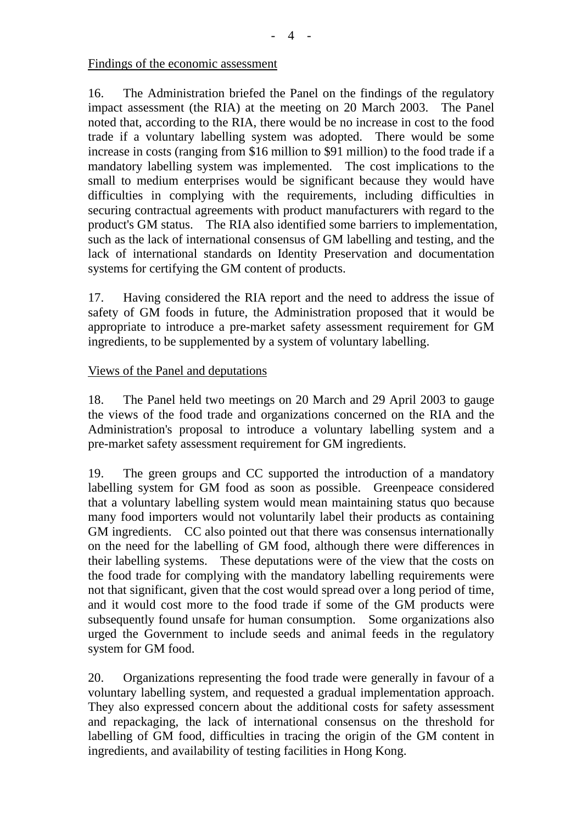Findings of the economic assessment

16. The Administration briefed the Panel on the findings of the regulatory impact assessment (the RIA) at the meeting on 20 March 2003. The Panel noted that, according to the RIA, there would be no increase in cost to the food trade if a voluntary labelling system was adopted. There would be some increase in costs (ranging from \$16 million to \$91 million) to the food trade if a mandatory labelling system was implemented. The cost implications to the small to medium enterprises would be significant because they would have difficulties in complying with the requirements, including difficulties in securing contractual agreements with product manufacturers with regard to the product's GM status. The RIA also identified some barriers to implementation, such as the lack of international consensus of GM labelling and testing, and the lack of international standards on Identity Preservation and documentation systems for certifying the GM content of products.

17. Having considered the RIA report and the need to address the issue of safety of GM foods in future, the Administration proposed that it would be appropriate to introduce a pre-market safety assessment requirement for GM ingredients, to be supplemented by a system of voluntary labelling.

#### Views of the Panel and deputations

18. The Panel held two meetings on 20 March and 29 April 2003 to gauge the views of the food trade and organizations concerned on the RIA and the Administration's proposal to introduce a voluntary labelling system and a pre-market safety assessment requirement for GM ingredients.

19. The green groups and CC supported the introduction of a mandatory labelling system for GM food as soon as possible. Greenpeace considered that a voluntary labelling system would mean maintaining status quo because many food importers would not voluntarily label their products as containing GM ingredients. CC also pointed out that there was consensus internationally on the need for the labelling of GM food, although there were differences in their labelling systems. These deputations were of the view that the costs on the food trade for complying with the mandatory labelling requirements were not that significant, given that the cost would spread over a long period of time, and it would cost more to the food trade if some of the GM products were subsequently found unsafe for human consumption. Some organizations also urged the Government to include seeds and animal feeds in the regulatory system for GM food.

20. Organizations representing the food trade were generally in favour of a voluntary labelling system, and requested a gradual implementation approach. They also expressed concern about the additional costs for safety assessment and repackaging, the lack of international consensus on the threshold for labelling of GM food, difficulties in tracing the origin of the GM content in ingredients, and availability of testing facilities in Hong Kong.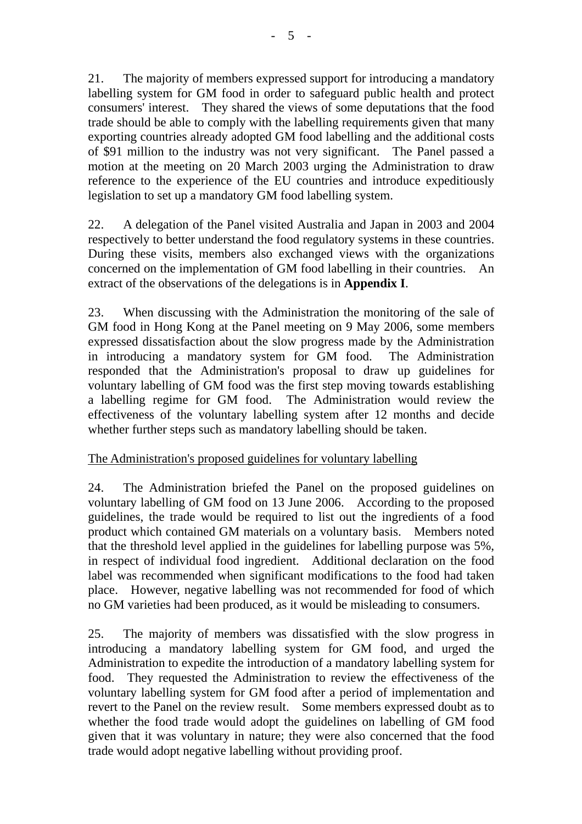21. The majority of members expressed support for introducing a mandatory labelling system for GM food in order to safeguard public health and protect consumers' interest. They shared the views of some deputations that the food trade should be able to comply with the labelling requirements given that many exporting countries already adopted GM food labelling and the additional costs of \$91 million to the industry was not very significant. The Panel passed a motion at the meeting on 20 March 2003 urging the Administration to draw reference to the experience of the EU countries and introduce expeditiously legislation to set up a mandatory GM food labelling system.

22. A delegation of the Panel visited Australia and Japan in 2003 and 2004 respectively to better understand the food regulatory systems in these countries. During these visits, members also exchanged views with the organizations concerned on the implementation of GM food labelling in their countries. An extract of the observations of the delegations is in **Appendix I**.

23. When discussing with the Administration the monitoring of the sale of GM food in Hong Kong at the Panel meeting on 9 May 2006, some members expressed dissatisfaction about the slow progress made by the Administration in introducing a mandatory system for GM food. The Administration responded that the Administration's proposal to draw up guidelines for voluntary labelling of GM food was the first step moving towards establishing a labelling regime for GM food. The Administration would review the effectiveness of the voluntary labelling system after 12 months and decide whether further steps such as mandatory labelling should be taken.

#### The Administration's proposed guidelines for voluntary labelling

24. The Administration briefed the Panel on the proposed guidelines on voluntary labelling of GM food on 13 June 2006. According to the proposed guidelines, the trade would be required to list out the ingredients of a food product which contained GM materials on a voluntary basis. Members noted that the threshold level applied in the guidelines for labelling purpose was 5%, in respect of individual food ingredient. Additional declaration on the food label was recommended when significant modifications to the food had taken place. However, negative labelling was not recommended for food of which no GM varieties had been produced, as it would be misleading to consumers.

25. The majority of members was dissatisfied with the slow progress in introducing a mandatory labelling system for GM food, and urged the Administration to expedite the introduction of a mandatory labelling system for food. They requested the Administration to review the effectiveness of the voluntary labelling system for GM food after a period of implementation and revert to the Panel on the review result. Some members expressed doubt as to whether the food trade would adopt the guidelines on labelling of GM food given that it was voluntary in nature; they were also concerned that the food trade would adopt negative labelling without providing proof.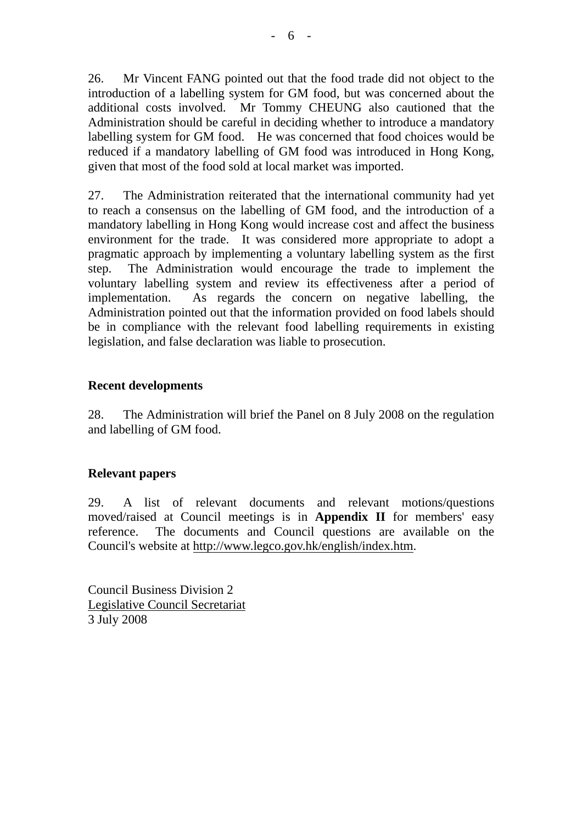26. Mr Vincent FANG pointed out that the food trade did not object to the introduction of a labelling system for GM food, but was concerned about the additional costs involved. Mr Tommy CHEUNG also cautioned that the Administration should be careful in deciding whether to introduce a mandatory labelling system for GM food. He was concerned that food choices would be reduced if a mandatory labelling of GM food was introduced in Hong Kong, given that most of the food sold at local market was imported.

27. The Administration reiterated that the international community had yet to reach a consensus on the labelling of GM food, and the introduction of a mandatory labelling in Hong Kong would increase cost and affect the business environment for the trade. It was considered more appropriate to adopt a pragmatic approach by implementing a voluntary labelling system as the first step. The Administration would encourage the trade to implement the voluntary labelling system and review its effectiveness after a period of implementation. As regards the concern on negative labelling, the Administration pointed out that the information provided on food labels should be in compliance with the relevant food labelling requirements in existing legislation, and false declaration was liable to prosecution.

#### **Recent developments**

28. The Administration will brief the Panel on 8 July 2008 on the regulation and labelling of GM food.

#### **Relevant papers**

29. A list of relevant documents and relevant motions/questions moved/raised at Council meetings is in **Appendix II** for members' easy reference. The documents and Council questions are available on the Council's website at http://www.legco.gov.hk/english/index.htm.

Council Business Division 2 Legislative Council Secretariat 3 July 2008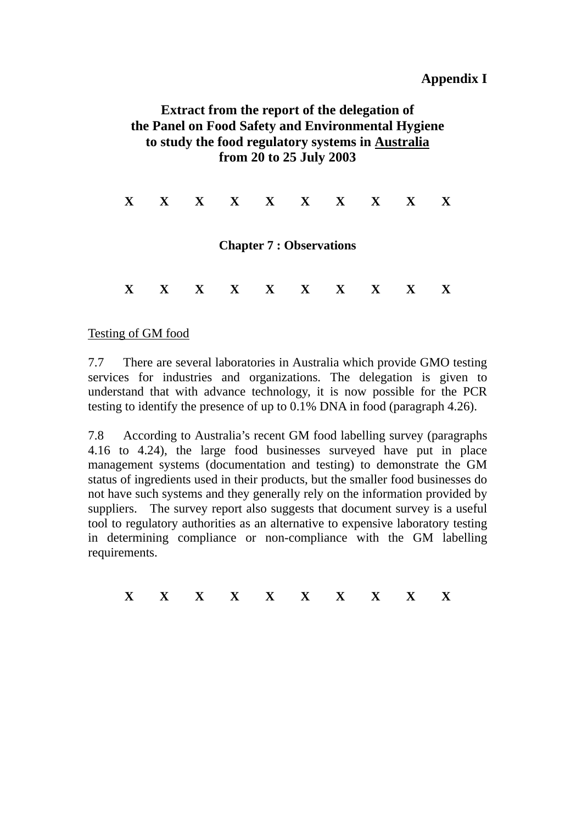#### **Appendix I**

# **Extract from the report of the delegation of the Panel on Food Safety and Environmental Hygiene to study the food regulatory systems in Australia from 20 to 25 July 2003**

**X X X X X X X X X X Chapter 7 : Observations X X X X X X X X X X** 

#### Testing of GM food

7.7 There are several laboratories in Australia which provide GMO testing services for industries and organizations. The delegation is given to understand that with advance technology, it is now possible for the PCR testing to identify the presence of up to 0.1% DNA in food (paragraph 4.26).

7.8 According to Australia's recent GM food labelling survey (paragraphs 4.16 to 4.24), the large food businesses surveyed have put in place management systems (documentation and testing) to demonstrate the GM status of ingredients used in their products, but the smaller food businesses do not have such systems and they generally rely on the information provided by suppliers. The survey report also suggests that document survey is a useful tool to regulatory authorities as an alternative to expensive laboratory testing in determining compliance or non-compliance with the GM labelling requirements.

**X X X X X X X X X X**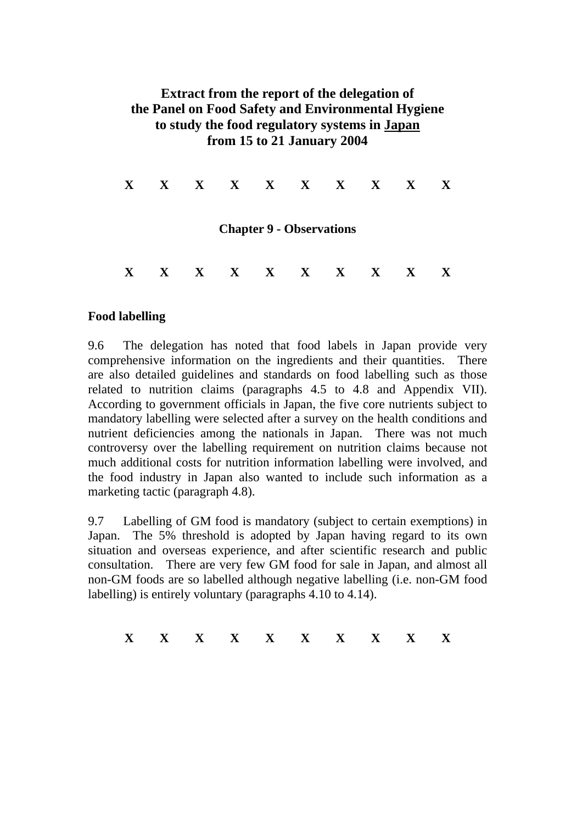# **Extract from the report of the delegation of the Panel on Food Safety and Environmental Hygiene to study the food regulatory systems in Japan from 15 to 21 January 2004**

| $\mathbf{X}$ | $X$ $X$ $X$ $X$ $X$ $X$ $X$ $X$ |  |                                 |  | $\mathbf{X}$ |
|--------------|---------------------------------|--|---------------------------------|--|--------------|
|              |                                 |  | <b>Chapter 9 - Observations</b> |  |              |
| $\mathbf{X}$ | $X$ $X$ $X$ $X$ $X$ $X$ $X$ $X$ |  |                                 |  | $\mathbf{X}$ |

#### **Food labelling**

9.6 The delegation has noted that food labels in Japan provide very comprehensive information on the ingredients and their quantities. There are also detailed guidelines and standards on food labelling such as those related to nutrition claims (paragraphs 4.5 to 4.8 and Appendix VII). According to government officials in Japan, the five core nutrients subject to mandatory labelling were selected after a survey on the health conditions and nutrient deficiencies among the nationals in Japan. There was not much controversy over the labelling requirement on nutrition claims because not much additional costs for nutrition information labelling were involved, and the food industry in Japan also wanted to include such information as a marketing tactic (paragraph 4.8).

9.7 Labelling of GM food is mandatory (subject to certain exemptions) in Japan. The 5% threshold is adopted by Japan having regard to its own situation and overseas experience, and after scientific research and public consultation. There are very few GM food for sale in Japan, and almost all non-GM foods are so labelled although negative labelling (i.e. non-GM food labelling) is entirely voluntary (paragraphs 4.10 to 4.14).

| --- |  |  |  |  |  |
|-----|--|--|--|--|--|
|     |  |  |  |  |  |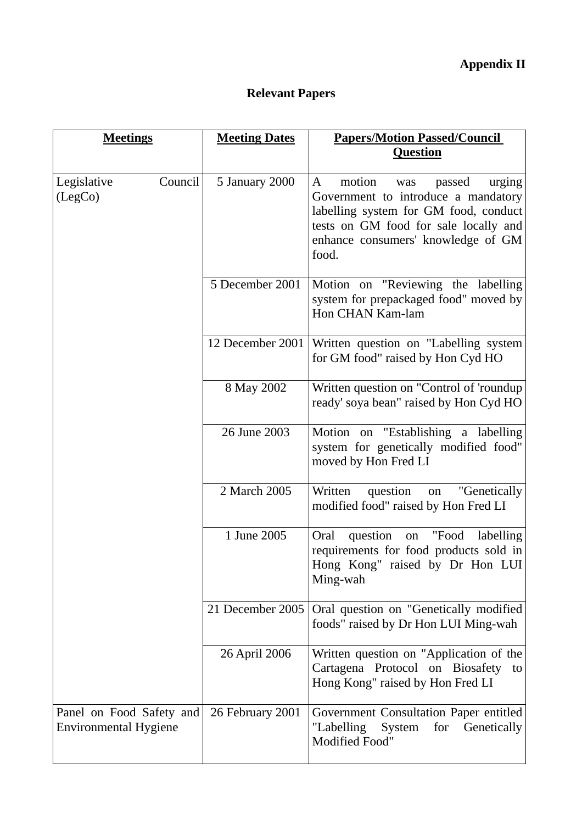# **Relevant Papers**

| <b>Meetings</b>                                          | <b>Meeting Dates</b> | <b>Papers/Motion Passed/Council</b>                                                                                                                                                                            |
|----------------------------------------------------------|----------------------|----------------------------------------------------------------------------------------------------------------------------------------------------------------------------------------------------------------|
|                                                          |                      | <b>Question</b>                                                                                                                                                                                                |
| Council<br>Legislative<br>(LegCo)                        | 5 January 2000       | motion<br>A<br>passed<br>urging<br>was<br>Government to introduce a mandatory<br>labelling system for GM food, conduct<br>tests on GM food for sale locally and<br>enhance consumers' knowledge of GM<br>food. |
|                                                          | 5 December 2001      | Motion on "Reviewing the labelling<br>system for prepackaged food" moved by<br>Hon CHAN Kam-lam                                                                                                                |
|                                                          | 12 December 2001     | Written question on "Labelling system"<br>for GM food" raised by Hon Cyd HO                                                                                                                                    |
|                                                          | 8 May 2002           | Written question on "Control of 'roundup<br>ready' soya bean" raised by Hon Cyd HO                                                                                                                             |
|                                                          | 26 June 2003         | Motion on "Establishing a labelling<br>system for genetically modified food"<br>moved by Hon Fred LI                                                                                                           |
|                                                          | 2 March 2005         | question<br>"Genetically<br>Written<br>on<br>modified food" raised by Hon Fred LI                                                                                                                              |
|                                                          | 1 June 2005          | on "Food<br>Oral<br>question<br>labelling<br>requirements for food products sold in<br>Hong Kong" raised by Dr Hon LUI<br>Ming-wah                                                                             |
|                                                          | 21 December 2005     | Oral question on "Genetically modified<br>foods" raised by Dr Hon LUI Ming-wah                                                                                                                                 |
|                                                          | 26 April 2006        | Written question on "Application of the<br>Cartagena Protocol on Biosafety to<br>Hong Kong" raised by Hon Fred LI                                                                                              |
| Panel on Food Safety and<br><b>Environmental Hygiene</b> | 26 February 2001     | Government Consultation Paper entitled<br>System<br>for Genetically<br>"Labelling<br>Modified Food"                                                                                                            |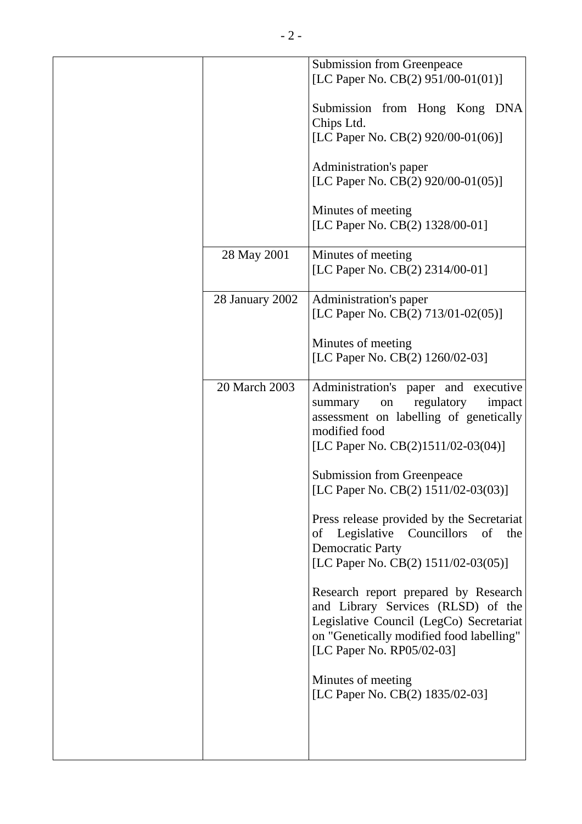|                 | <b>Submission from Greenpeace</b><br>[LC Paper No. CB(2) 951/00-01(01)]                                                                                                                        |
|-----------------|------------------------------------------------------------------------------------------------------------------------------------------------------------------------------------------------|
|                 | Submission from Hong Kong DNA<br>Chips Ltd.                                                                                                                                                    |
|                 | [LC Paper No. CB(2) 920/00-01(06)]                                                                                                                                                             |
|                 | Administration's paper<br>[LC Paper No. CB(2) 920/00-01(05)]                                                                                                                                   |
|                 |                                                                                                                                                                                                |
|                 | Minutes of meeting<br>[LC Paper No. CB(2) 1328/00-01]                                                                                                                                          |
| 28 May 2001     | Minutes of meeting                                                                                                                                                                             |
|                 | [LC Paper No. CB(2) 2314/00-01]                                                                                                                                                                |
| 28 January 2002 | Administration's paper                                                                                                                                                                         |
|                 | [LC Paper No. CB(2) 713/01-02(05)]                                                                                                                                                             |
|                 | Minutes of meeting                                                                                                                                                                             |
|                 | [LC Paper No. CB(2) 1260/02-03]                                                                                                                                                                |
| 20 March 2003   | Administration's paper and<br>executive<br>regulatory<br>impact<br>summary<br>on<br>assessment on labelling of genetically<br>modified food                                                    |
|                 | [LC Paper No. CB(2)1511/02-03(04)]                                                                                                                                                             |
|                 | <b>Submission from Greenpeace</b>                                                                                                                                                              |
|                 | [LC Paper No. CB(2) 1511/02-03(03)]                                                                                                                                                            |
|                 | Press release provided by the Secretariat<br>Legislative Councillors<br>of<br>the<br>of<br><b>Democratic Party</b>                                                                             |
|                 | [LC Paper No. CB(2) 1511/02-03(05)]                                                                                                                                                            |
|                 | Research report prepared by Research<br>and Library Services (RLSD) of the<br>Legislative Council (LegCo) Secretariat<br>on "Genetically modified food labelling"<br>[LC Paper No. RP05/02-03] |
|                 | Minutes of meeting<br>[LC Paper No. CB(2) 1835/02-03]                                                                                                                                          |
|                 |                                                                                                                                                                                                |
|                 |                                                                                                                                                                                                |